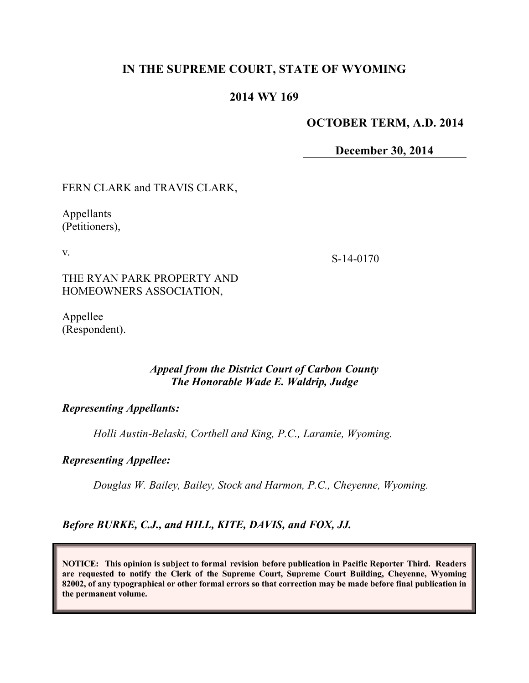# **IN THE SUPREME COURT, STATE OF WYOMING**

### **2014 WY 169**

#### **OCTOBER TERM, A.D. 2014**

**December 30, 2014**

FERN CLARK and TRAVIS CLARK,

Appellants (Petitioners),

v.

S-14-0170

THE RYAN PARK PROPERTY AND HOMEOWNERS ASSOCIATION,

Appellee (Respondent).

### *Appeal from the District Court of Carbon County The Honorable Wade E. Waldrip, Judge*

#### *Representing Appellants:*

*Holli Austin-Belaski, Corthell and King, P.C., Laramie, Wyoming.*

#### *Representing Appellee:*

*Douglas W. Bailey, Bailey, Stock and Harmon, P.C., Cheyenne, Wyoming.*

*Before BURKE, C.J., and HILL, KITE, DAVIS, and FOX, JJ.*

**NOTICE: This opinion is subject to formal revision before publication in Pacific Reporter Third. Readers are requested to notify the Clerk of the Supreme Court, Supreme Court Building, Cheyenne, Wyoming 82002, of any typographical or other formal errors so that correction may be made before final publication in the permanent volume.**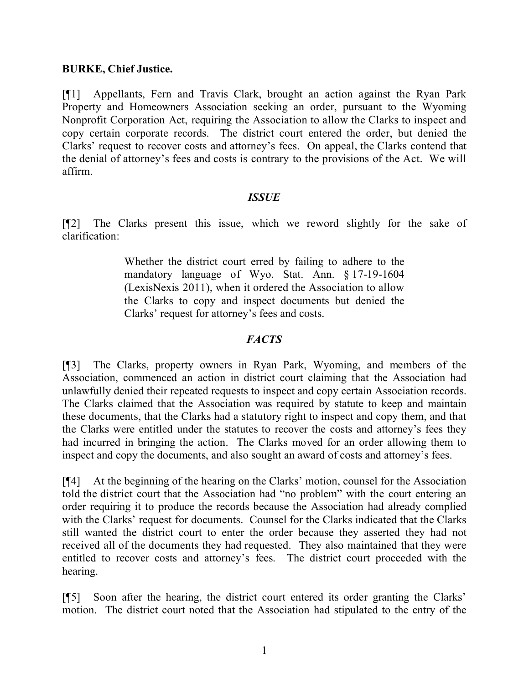### **BURKE, Chief Justice.**

[¶1] Appellants, Fern and Travis Clark, brought an action against the Ryan Park Property and Homeowners Association seeking an order, pursuant to the Wyoming Nonprofit Corporation Act, requiring the Association to allow the Clarks to inspect and copy certain corporate records. The district court entered the order, but denied the Clarks' request to recover costs and attorney's fees. On appeal, the Clarks contend that the denial of attorney's fees and costs is contrary to the provisions of the Act. We will affirm.

### *ISSUE*

[¶2] The Clarks present this issue, which we reword slightly for the sake of clarification:

> Whether the district court erred by failing to adhere to the mandatory language of Wyo. Stat. Ann. § 17-19-1604 (LexisNexis 2011), when it ordered the Association to allow the Clarks to copy and inspect documents but denied the Clarks' request for attorney's fees and costs.

# *FACTS*

[¶3] The Clarks, property owners in Ryan Park, Wyoming, and members of the Association, commenced an action in district court claiming that the Association had unlawfully denied their repeated requests to inspect and copy certain Association records. The Clarks claimed that the Association was required by statute to keep and maintain these documents, that the Clarks had a statutory right to inspect and copy them, and that the Clarks were entitled under the statutes to recover the costs and attorney's fees they had incurred in bringing the action. The Clarks moved for an order allowing them to inspect and copy the documents, and also sought an award of costs and attorney's fees.

[¶4] At the beginning of the hearing on the Clarks' motion, counsel for the Association told the district court that the Association had "no problem" with the court entering an order requiring it to produce the records because the Association had already complied with the Clarks' request for documents. Counsel for the Clarks indicated that the Clarks still wanted the district court to enter the order because they asserted they had not received all of the documents they had requested. They also maintained that they were entitled to recover costs and attorney's fees. The district court proceeded with the hearing.

[¶5] Soon after the hearing, the district court entered its order granting the Clarks' motion. The district court noted that the Association had stipulated to the entry of the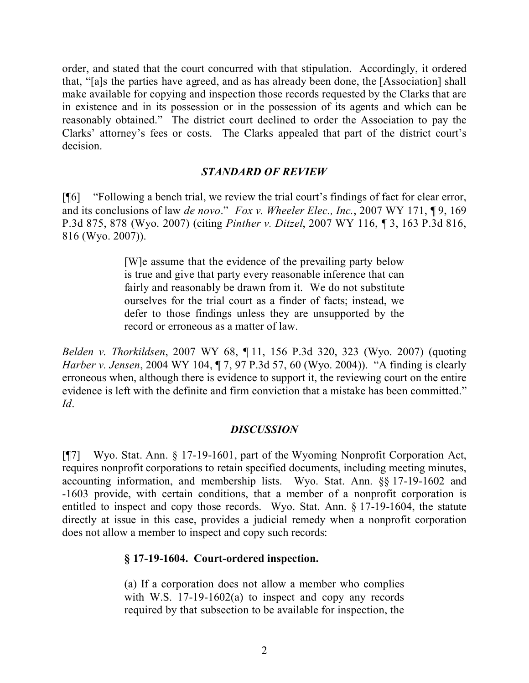order, and stated that the court concurred with that stipulation. Accordingly, it ordered that, "[a]s the parties have agreed, and as has already been done, the [Association] shall make available for copying and inspection those records requested by the Clarks that are in existence and in its possession or in the possession of its agents and which can be reasonably obtained." The district court declined to order the Association to pay the Clarks' attorney's fees or costs. The Clarks appealed that part of the district court's decision.

# *STANDARD OF REVIEW*

[¶6] "Following a bench trial, we review the trial court's findings of fact for clear error, and its conclusions of law *de novo*." *Fox v. Wheeler Elec., Inc.*, 2007 WY 171, ¶ 9, 169 P.3d 875, 878 (Wyo. 2007) (citing *Pinther v. Ditzel*, 2007 WY 116, ¶ 3, 163 P.3d 816, 816 (Wyo. 2007)).

> [W]e assume that the evidence of the prevailing party below is true and give that party every reasonable inference that can fairly and reasonably be drawn from it. We do not substitute ourselves for the trial court as a finder of facts; instead, we defer to those findings unless they are unsupported by the record or erroneous as a matter of law.

*Belden v. Thorkildsen*, 2007 WY 68, ¶ 11, 156 P.3d 320, 323 (Wyo. 2007) (quoting *Harber v. Jensen*, 2004 WY 104, ¶ 7, 97 P.3d 57, 60 (Wyo. 2004)). "A finding is clearly erroneous when, although there is evidence to support it, the reviewing court on the entire evidence is left with the definite and firm conviction that a mistake has been committed." *Id*.

# *DISCUSSION*

[¶7] Wyo. Stat. Ann. § 17-19-1601, part of the Wyoming Nonprofit Corporation Act, requires nonprofit corporations to retain specified documents, including meeting minutes, accounting information, and membership lists. Wyo. Stat. Ann. §§ 17-19-1602 and -1603 provide, with certain conditions, that a member of a nonprofit corporation is entitled to inspect and copy those records. Wyo. Stat. Ann. § 17-19-1604, the statute directly at issue in this case, provides a judicial remedy when a nonprofit corporation does not allow a member to inspect and copy such records:

# **§ 17-19-1604. Court-ordered inspection.**

(a) If a corporation does not allow a member who complies with W.S. 17-19-1602(a) to inspect and copy any records required by that subsection to be available for inspection, the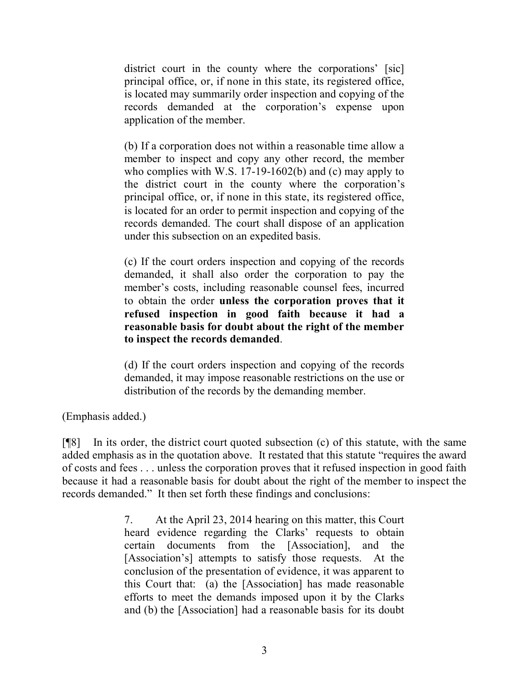district court in the county where the corporations' [sic] principal office, or, if none in this state, its registered office, is located may summarily order inspection and copying of the records demanded at the corporation's expense upon application of the member.

(b) If a corporation does not within a reasonable time allow a member to inspect and copy any other record, the member who complies with W.S. 17-19-1602(b) and (c) may apply to the district court in the county where the corporation's principal office, or, if none in this state, its registered office, is located for an order to permit inspection and copying of the records demanded. The court shall dispose of an application under this subsection on an expedited basis.

(c) If the court orders inspection and copying of the records demanded, it shall also order the corporation to pay the member's costs, including reasonable counsel fees, incurred to obtain the order **unless the corporation proves that it refused inspection in good faith because it had a reasonable basis for doubt about the right of the member to inspect the records demanded**.

(d) If the court orders inspection and copying of the records demanded, it may impose reasonable restrictions on the use or distribution of the records by the demanding member.

(Emphasis added.)

[¶8] In its order, the district court quoted subsection (c) of this statute, with the same added emphasis as in the quotation above. It restated that this statute "requires the award of costs and fees . . . unless the corporation proves that it refused inspection in good faith because it had a reasonable basis for doubt about the right of the member to inspect the records demanded." It then set forth these findings and conclusions:

> 7. At the April 23, 2014 hearing on this matter, this Court heard evidence regarding the Clarks' requests to obtain certain documents from the [Association], and the [Association's] attempts to satisfy those requests. At the conclusion of the presentation of evidence, it was apparent to this Court that: (a) the [Association] has made reasonable efforts to meet the demands imposed upon it by the Clarks and (b) the [Association] had a reasonable basis for its doubt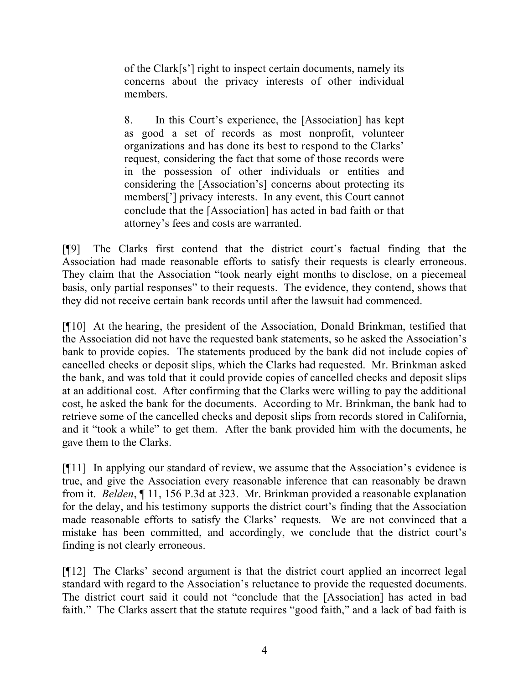of the Clark[s'] right to inspect certain documents, namely its concerns about the privacy interests of other individual members.

8. In this Court's experience, the [Association] has kept as good a set of records as most nonprofit, volunteer organizations and has done its best to respond to the Clarks' request, considering the fact that some of those records were in the possession of other individuals or entities and considering the [Association's] concerns about protecting its members['] privacy interests. In any event, this Court cannot conclude that the [Association] has acted in bad faith or that attorney's fees and costs are warranted.

[¶9] The Clarks first contend that the district court's factual finding that the Association had made reasonable efforts to satisfy their requests is clearly erroneous. They claim that the Association "took nearly eight months to disclose, on a piecemeal basis, only partial responses" to their requests. The evidence, they contend, shows that they did not receive certain bank records until after the lawsuit had commenced.

[¶10] At the hearing, the president of the Association, Donald Brinkman, testified that the Association did not have the requested bank statements, so he asked the Association's bank to provide copies. The statements produced by the bank did not include copies of cancelled checks or deposit slips, which the Clarks had requested. Mr. Brinkman asked the bank, and was told that it could provide copies of cancelled checks and deposit slips at an additional cost. After confirming that the Clarks were willing to pay the additional cost, he asked the bank for the documents. According to Mr. Brinkman, the bank had to retrieve some of the cancelled checks and deposit slips from records stored in California, and it "took a while" to get them. After the bank provided him with the documents, he gave them to the Clarks.

[¶11] In applying our standard of review, we assume that the Association's evidence is true, and give the Association every reasonable inference that can reasonably be drawn from it. *Belden*, ¶ 11, 156 P.3d at 323. Mr. Brinkman provided a reasonable explanation for the delay, and his testimony supports the district court's finding that the Association made reasonable efforts to satisfy the Clarks' requests. We are not convinced that a mistake has been committed, and accordingly, we conclude that the district court's finding is not clearly erroneous.

[¶12] The Clarks' second argument is that the district court applied an incorrect legal standard with regard to the Association's reluctance to provide the requested documents. The district court said it could not "conclude that the [Association] has acted in bad faith." The Clarks assert that the statute requires "good faith," and a lack of bad faith is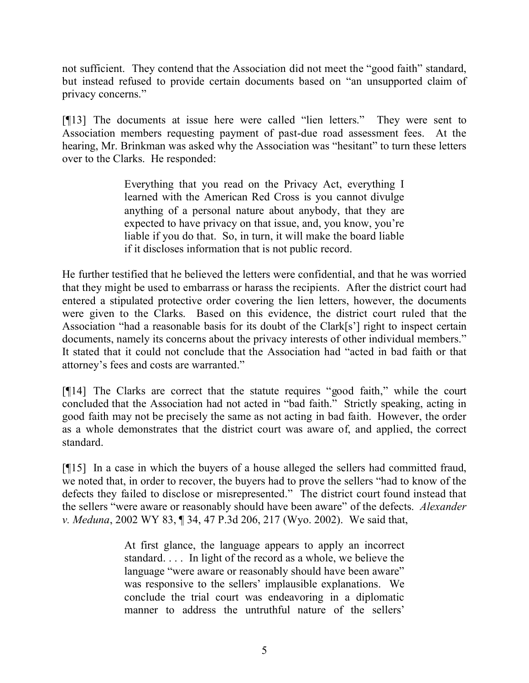not sufficient. They contend that the Association did not meet the "good faith" standard, but instead refused to provide certain documents based on "an unsupported claim of privacy concerns."

[¶13] The documents at issue here were called "lien letters." They were sent to Association members requesting payment of past-due road assessment fees. At the hearing, Mr. Brinkman was asked why the Association was "hesitant" to turn these letters over to the Clarks. He responded:

> Everything that you read on the Privacy Act, everything I learned with the American Red Cross is you cannot divulge anything of a personal nature about anybody, that they are expected to have privacy on that issue, and, you know, you're liable if you do that. So, in turn, it will make the board liable if it discloses information that is not public record.

He further testified that he believed the letters were confidential, and that he was worried that they might be used to embarrass or harass the recipients. After the district court had entered a stipulated protective order covering the lien letters, however, the documents were given to the Clarks. Based on this evidence, the district court ruled that the Association "had a reasonable basis for its doubt of the Clark[s'] right to inspect certain documents, namely its concerns about the privacy interests of other individual members." It stated that it could not conclude that the Association had "acted in bad faith or that attorney's fees and costs are warranted."

[¶14] The Clarks are correct that the statute requires "good faith," while the court concluded that the Association had not acted in "bad faith." Strictly speaking, acting in good faith may not be precisely the same as not acting in bad faith. However, the order as a whole demonstrates that the district court was aware of, and applied, the correct standard.

[¶15] In a case in which the buyers of a house alleged the sellers had committed fraud, we noted that, in order to recover, the buyers had to prove the sellers "had to know of the defects they failed to disclose or misrepresented." The district court found instead that the sellers "were aware or reasonably should have been aware" of the defects. *Alexander v. Meduna*, 2002 WY 83, ¶ 34, 47 P.3d 206, 217 (Wyo. 2002). We said that,

> At first glance, the language appears to apply an incorrect standard. . . . In light of the record as a whole, we believe the language "were aware or reasonably should have been aware" was responsive to the sellers' implausible explanations. We conclude the trial court was endeavoring in a diplomatic manner to address the untruthful nature of the sellers'